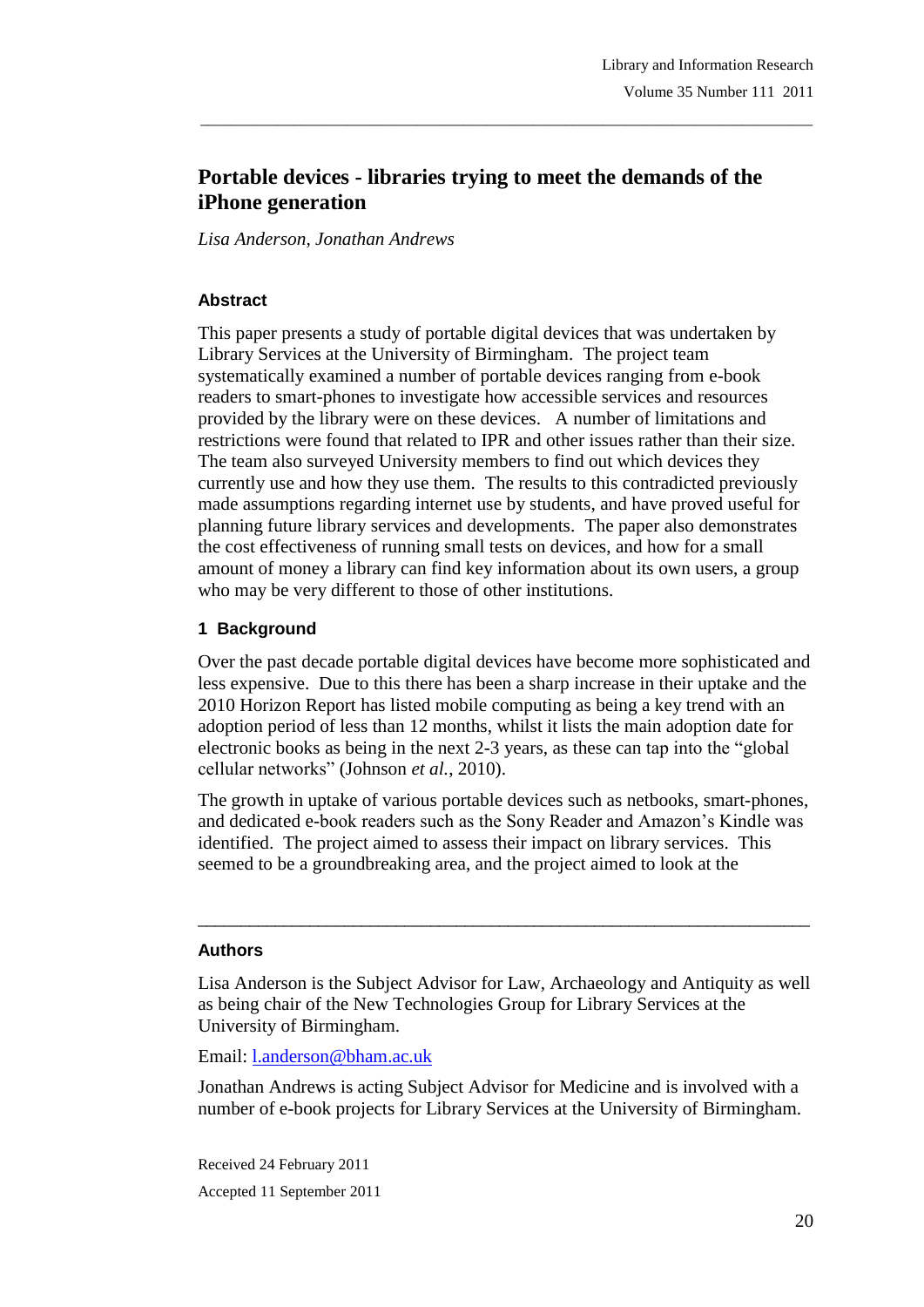# **Portable devices - libraries trying to meet the demands of the iPhone generation**

\_\_\_\_\_\_\_\_\_\_\_\_\_\_\_\_\_\_\_\_\_\_\_\_\_\_\_\_\_\_\_\_\_\_\_\_\_\_\_\_\_\_\_\_\_\_\_\_\_\_\_\_\_\_\_\_\_\_\_\_\_\_\_\_\_\_\_\_\_\_\_\_\_\_\_\_\_\_\_

*Lisa Anderson, Jonathan Andrews*

#### **Abstract**

This paper presents a study of portable digital devices that was undertaken by Library Services at the University of Birmingham. The project team systematically examined a number of portable devices ranging from e-book readers to smart-phones to investigate how accessible services and resources provided by the library were on these devices. A number of limitations and restrictions were found that related to IPR and other issues rather than their size. The team also surveyed University members to find out which devices they currently use and how they use them. The results to this contradicted previously made assumptions regarding internet use by students, and have proved useful for planning future library services and developments. The paper also demonstrates the cost effectiveness of running small tests on devices, and how for a small amount of money a library can find key information about its own users, a group who may be very different to those of other institutions.

#### **1 Background**

Over the past decade portable digital devices have become more sophisticated and less expensive. Due to this there has been a sharp increase in their uptake and the 2010 Horizon Report has listed mobile computing as being a key trend with an adoption period of less than 12 months, whilst it lists the main adoption date for electronic books as being in the next 2-3 years, as these can tap into the "global cellular networks" (Johnson *et al.*, 2010).

The growth in uptake of various portable devices such as netbooks, smart-phones, and dedicated e-book readers such as the Sony Reader and Amazon"s Kindle was identified. The project aimed to assess their impact on library services. This seemed to be a groundbreaking area, and the project aimed to look at the

\_\_\_\_\_\_\_\_\_\_\_\_\_\_\_\_\_\_\_\_\_\_\_\_\_\_\_\_\_\_\_\_\_\_\_\_\_\_\_\_\_\_\_\_\_\_\_\_\_\_\_\_\_\_\_\_\_\_\_\_\_\_\_\_\_\_\_\_\_\_\_

#### **Authors**

Lisa Anderson is the Subject Advisor for Law, Archaeology and Antiquity as well as being chair of the New Technologies Group for Library Services at the University of Birmingham.

Email: l.anderson@bham.ac.uk

Jonathan Andrews is acting Subject Advisor for Medicine and is involved with a number of e-book projects for Library Services at the University of Birmingham.

Received 24 February 2011 Accepted 11 September 2011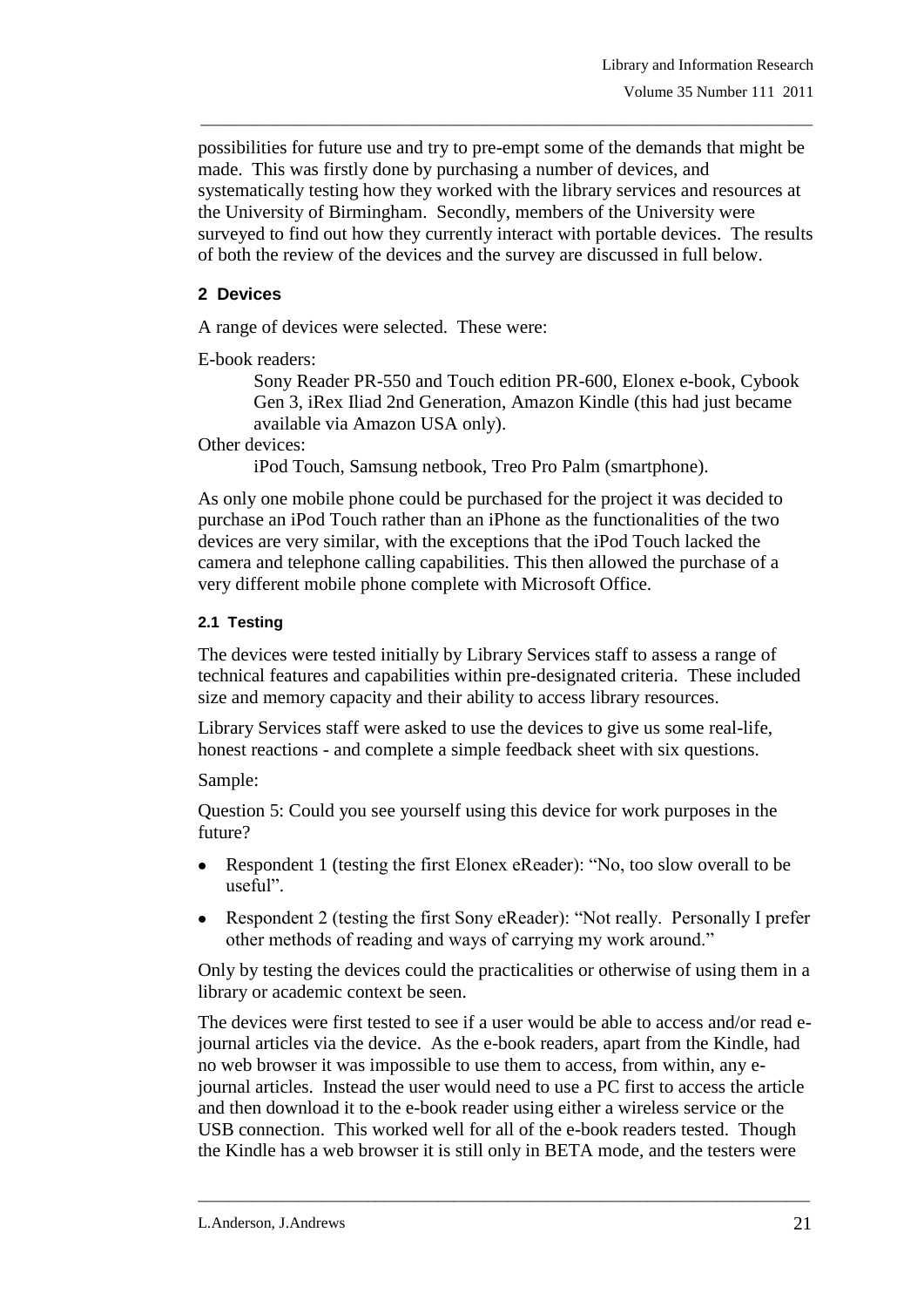possibilities for future use and try to pre-empt some of the demands that might be made. This was firstly done by purchasing a number of devices, and systematically testing how they worked with the library services and resources at the University of Birmingham. Secondly, members of the University were surveyed to find out how they currently interact with portable devices. The results of both the review of the devices and the survey are discussed in full below.

\_\_\_\_\_\_\_\_\_\_\_\_\_\_\_\_\_\_\_\_\_\_\_\_\_\_\_\_\_\_\_\_\_\_\_\_\_\_\_\_\_\_\_\_\_\_\_\_\_\_\_\_\_\_\_\_\_\_\_\_\_\_\_\_\_\_\_\_\_\_\_\_\_\_\_\_\_\_\_

# **2 Devices**

A range of devices were selected. These were:

E-book readers:

Sony Reader PR-550 and Touch edition PR-600, Elonex e-book, Cybook Gen 3, iRex Iliad 2nd Generation, Amazon Kindle (this had just became available via Amazon USA only).

Other devices:

iPod Touch, Samsung netbook, Treo Pro Palm (smartphone).

As only one mobile phone could be purchased for the project it was decided to purchase an iPod Touch rather than an iPhone as the functionalities of the two devices are very similar, with the exceptions that the iPod Touch lacked the camera and telephone calling capabilities. This then allowed the purchase of a very different mobile phone complete with Microsoft Office.

# **2.1 Testing**

The devices were tested initially by Library Services staff to assess a range of technical features and capabilities within pre-designated criteria. These included size and memory capacity and their ability to access library resources.

Library Services staff were asked to use the devices to give us some real-life, honest reactions - and complete a simple feedback sheet with six questions.

Sample:

Question 5: Could you see yourself using this device for work purposes in the future?

- Respondent 1 (testing the first Elonex eReader): "No, too slow overall to be useful".
- Respondent 2 (testing the first Sony eReader): "Not really. Personally I prefer other methods of reading and ways of carrying my work around."

Only by testing the devices could the practicalities or otherwise of using them in a library or academic context be seen.

The devices were first tested to see if a user would be able to access and/or read ejournal articles via the device. As the e-book readers, apart from the Kindle, had no web browser it was impossible to use them to access, from within, any ejournal articles. Instead the user would need to use a PC first to access the article and then download it to the e-book reader using either a wireless service or the USB connection. This worked well for all of the e-book readers tested. Though the Kindle has a web browser it is still only in BETA mode, and the testers were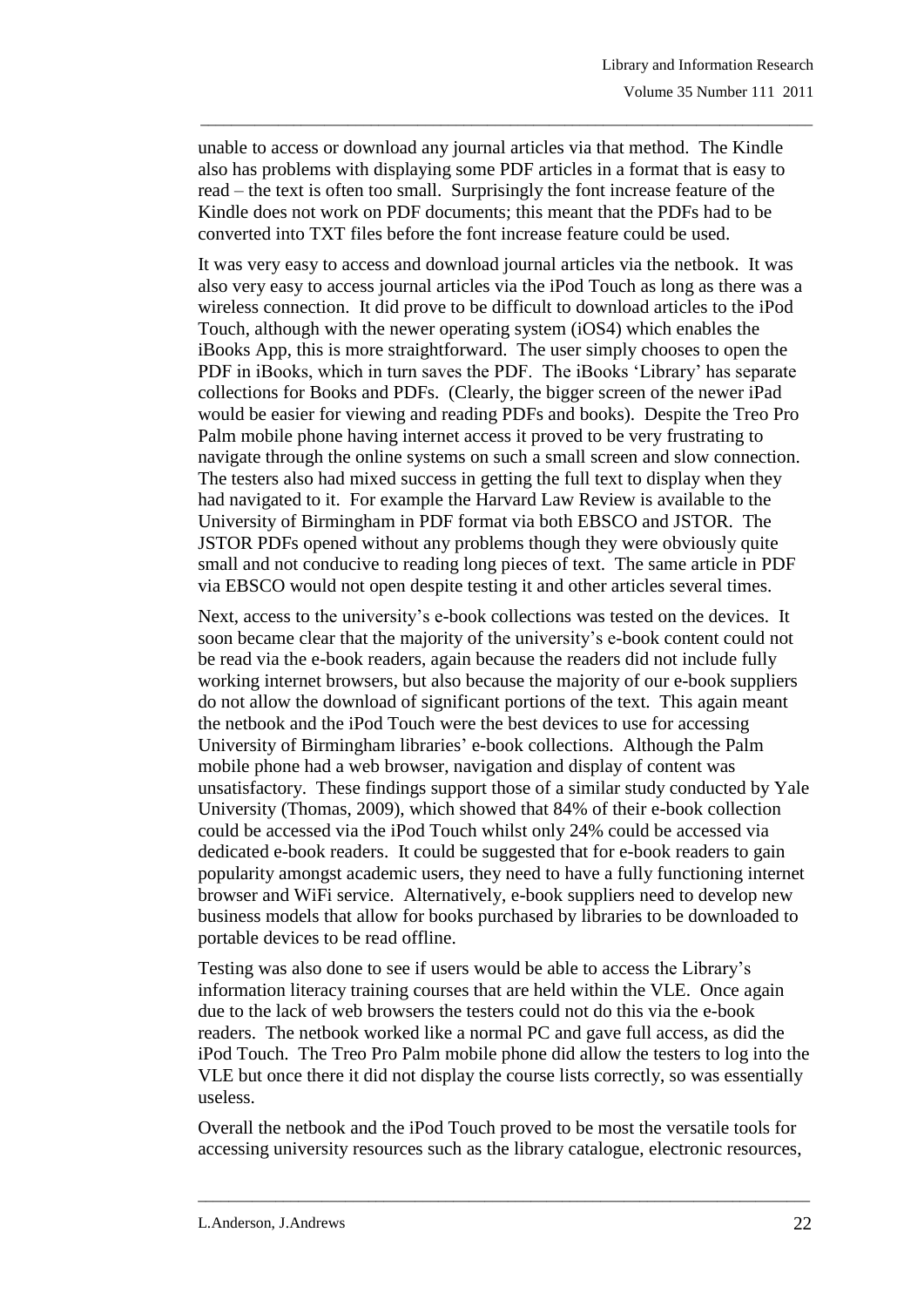unable to access or download any journal articles via that method. The Kindle also has problems with displaying some PDF articles in a format that is easy to read – the text is often too small. Surprisingly the font increase feature of the Kindle does not work on PDF documents; this meant that the PDFs had to be converted into TXT files before the font increase feature could be used.

\_\_\_\_\_\_\_\_\_\_\_\_\_\_\_\_\_\_\_\_\_\_\_\_\_\_\_\_\_\_\_\_\_\_\_\_\_\_\_\_\_\_\_\_\_\_\_\_\_\_\_\_\_\_\_\_\_\_\_\_\_\_\_\_\_\_\_\_\_\_\_\_\_\_\_\_\_\_\_

It was very easy to access and download journal articles via the netbook. It was also very easy to access journal articles via the iPod Touch as long as there was a wireless connection. It did prove to be difficult to download articles to the iPod Touch, although with the newer operating system (iOS4) which enables the iBooks App, this is more straightforward. The user simply chooses to open the PDF in iBooks, which in turn saves the PDF. The iBooks "Library" has separate collections for Books and PDFs. (Clearly, the bigger screen of the newer iPad would be easier for viewing and reading PDFs and books). Despite the Treo Pro Palm mobile phone having internet access it proved to be very frustrating to navigate through the online systems on such a small screen and slow connection. The testers also had mixed success in getting the full text to display when they had navigated to it. For example the Harvard Law Review is available to the University of Birmingham in PDF format via both EBSCO and JSTOR. The JSTOR PDFs opened without any problems though they were obviously quite small and not conducive to reading long pieces of text. The same article in PDF via EBSCO would not open despite testing it and other articles several times.

Next, access to the university's e-book collections was tested on the devices. It soon became clear that the majority of the university's e-book content could not be read via the e-book readers, again because the readers did not include fully working internet browsers, but also because the majority of our e-book suppliers do not allow the download of significant portions of the text. This again meant the netbook and the iPod Touch were the best devices to use for accessing University of Birmingham libraries" e-book collections. Although the Palm mobile phone had a web browser, navigation and display of content was unsatisfactory. These findings support those of a similar study conducted by Yale University (Thomas, 2009), which showed that 84% of their e-book collection could be accessed via the iPod Touch whilst only 24% could be accessed via dedicated e-book readers. It could be suggested that for e-book readers to gain popularity amongst academic users, they need to have a fully functioning internet browser and WiFi service. Alternatively, e-book suppliers need to develop new business models that allow for books purchased by libraries to be downloaded to portable devices to be read offline.

Testing was also done to see if users would be able to access the Library"s information literacy training courses that are held within the VLE. Once again due to the lack of web browsers the testers could not do this via the e-book readers. The netbook worked like a normal PC and gave full access, as did the iPod Touch. The Treo Pro Palm mobile phone did allow the testers to log into the VLE but once there it did not display the course lists correctly, so was essentially useless.

Overall the netbook and the iPod Touch proved to be most the versatile tools for accessing university resources such as the library catalogue, electronic resources,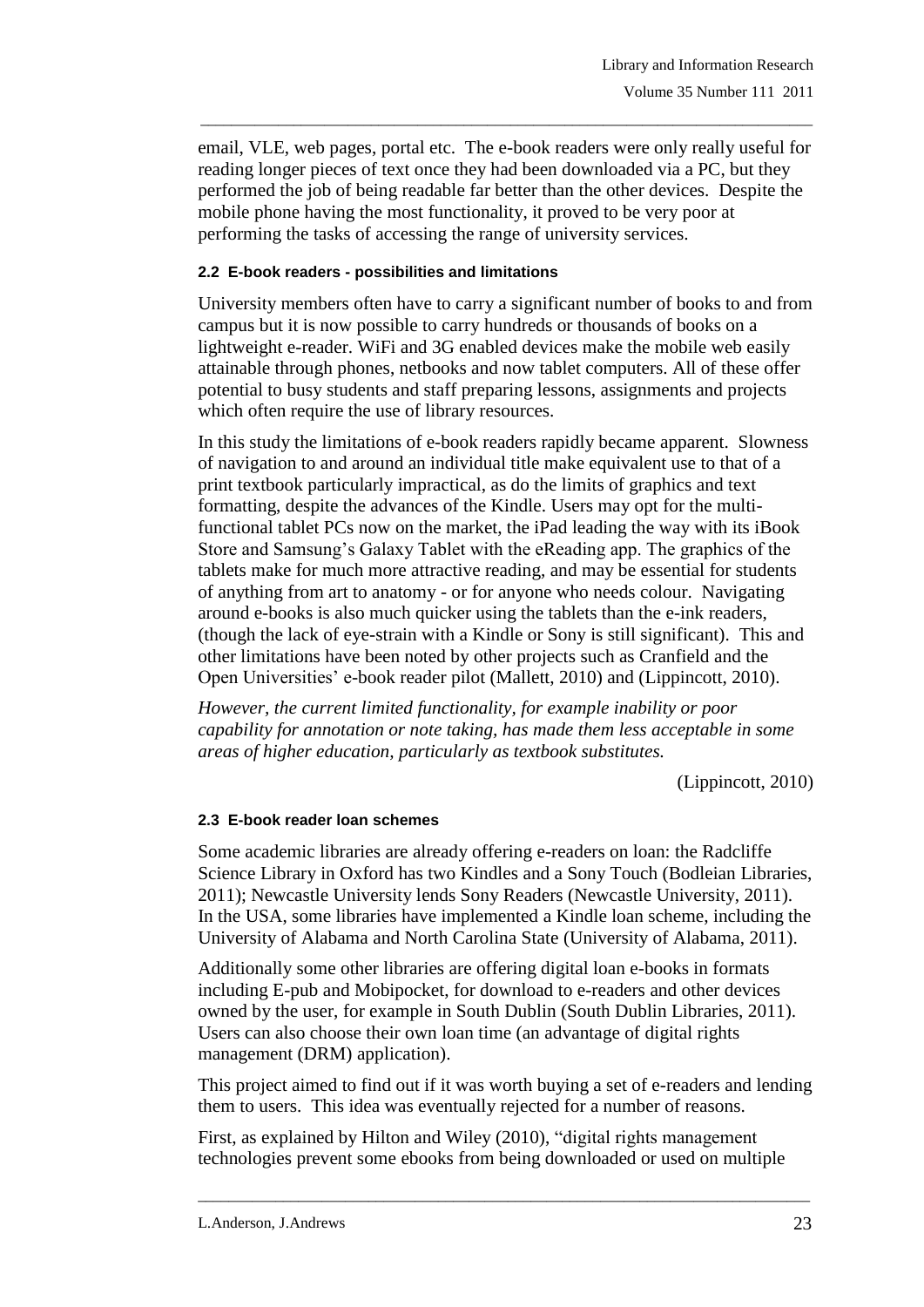email, VLE, web pages, portal etc. The e-book readers were only really useful for reading longer pieces of text once they had been downloaded via a PC, but they performed the job of being readable far better than the other devices. Despite the mobile phone having the most functionality, it proved to be very poor at performing the tasks of accessing the range of university services.

\_\_\_\_\_\_\_\_\_\_\_\_\_\_\_\_\_\_\_\_\_\_\_\_\_\_\_\_\_\_\_\_\_\_\_\_\_\_\_\_\_\_\_\_\_\_\_\_\_\_\_\_\_\_\_\_\_\_\_\_\_\_\_\_\_\_\_\_\_\_\_\_\_\_\_\_\_\_\_

### **2.2 E-book readers - possibilities and limitations**

University members often have to carry a significant number of books to and from campus but it is now possible to carry hundreds or thousands of books on a lightweight e-reader. WiFi and 3G enabled devices make the mobile web easily attainable through phones, netbooks and now tablet computers. All of these offer potential to busy students and staff preparing lessons, assignments and projects which often require the use of library resources.

In this study the limitations of e-book readers rapidly became apparent. Slowness of navigation to and around an individual title make equivalent use to that of a print textbook particularly impractical, as do the limits of graphics and text formatting, despite the advances of the Kindle. Users may opt for the multifunctional tablet PCs now on the market, the iPad leading the way with its iBook Store and Samsung"s Galaxy Tablet with the eReading app. The graphics of the tablets make for much more attractive reading, and may be essential for students of anything from art to anatomy - or for anyone who needs colour. Navigating around e-books is also much quicker using the tablets than the e-ink readers, (though the lack of eye-strain with a Kindle or Sony is still significant). This and other limitations have been noted by other projects such as Cranfield and the Open Universities" e-book reader pilot (Mallett, 2010) and (Lippincott, 2010).

*However, the current limited functionality, for example inability or poor capability for annotation or note taking, has made them less acceptable in some areas of higher education, particularly as textbook substitutes.* 

(Lippincott, 2010)

## **2.3 E-book reader loan schemes**

Some academic libraries are already offering e-readers on loan: the Radcliffe Science Library in Oxford has two Kindles and a Sony Touch (Bodleian Libraries, 2011); Newcastle University lends Sony Readers (Newcastle University, 2011). In the USA, some libraries have implemented a Kindle loan scheme, including the University of Alabama and North Carolina State (University of Alabama, 2011).

Additionally some other libraries are offering digital loan e-books in formats including E-pub and Mobipocket, for download to e-readers and other devices owned by the user, for example in South Dublin (South Dublin Libraries, 2011). Users can also choose their own loan time (an advantage of digital rights management (DRM) application).

This project aimed to find out if it was worth buying a set of e-readers and lending them to users. This idea was eventually rejected for a number of reasons.

First, as explained by Hilton and Wiley (2010), "digital rights management technologies prevent some ebooks from being downloaded or used on multiple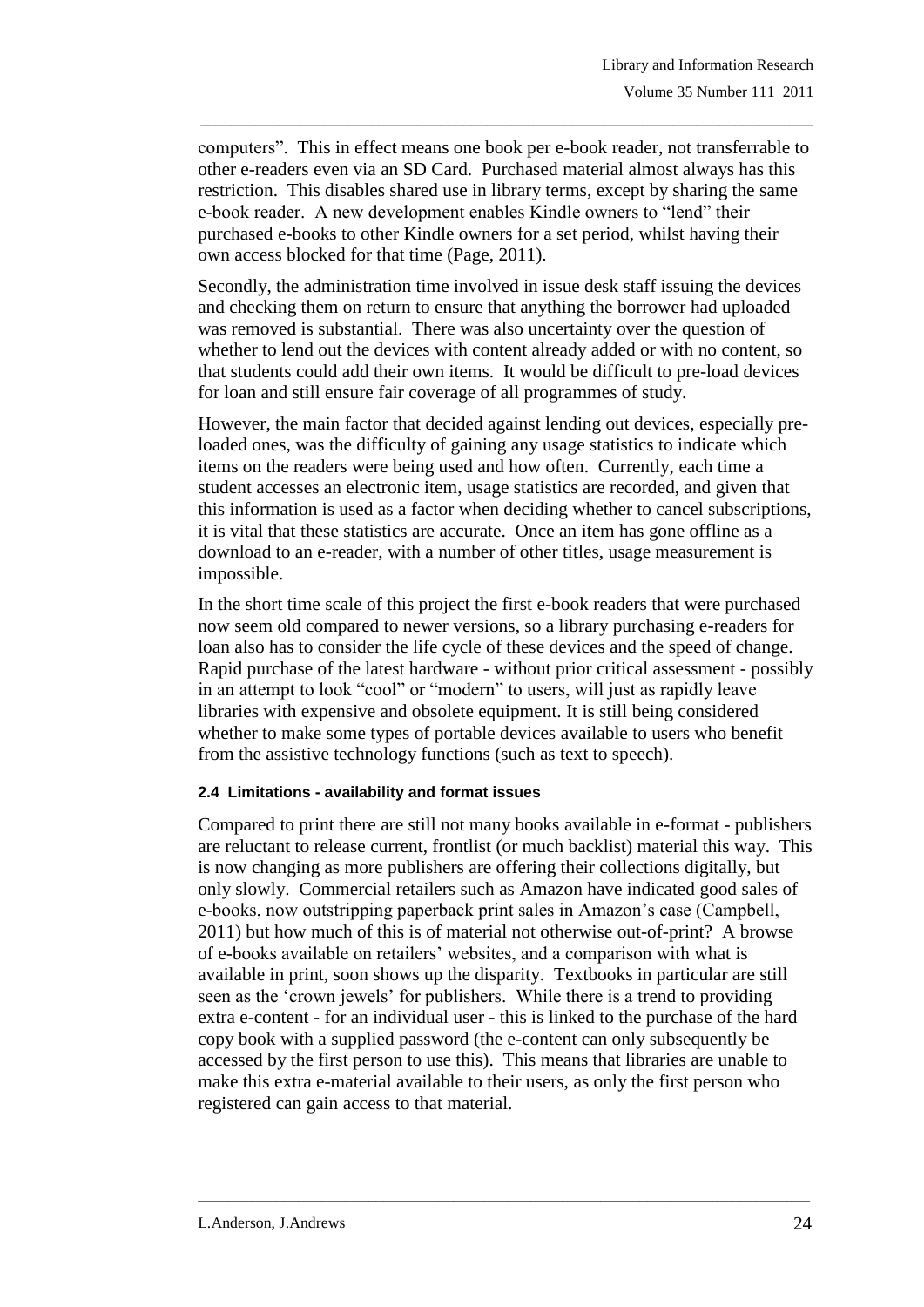computers". This in effect means one book per e-book reader, not transferrable to other e-readers even via an SD Card. Purchased material almost always has this restriction. This disables shared use in library terms, except by sharing the same e-book reader. A new development enables Kindle owners to "lend" their purchased e-books to other Kindle owners for a set period, whilst having their own access blocked for that time (Page, 2011).

\_\_\_\_\_\_\_\_\_\_\_\_\_\_\_\_\_\_\_\_\_\_\_\_\_\_\_\_\_\_\_\_\_\_\_\_\_\_\_\_\_\_\_\_\_\_\_\_\_\_\_\_\_\_\_\_\_\_\_\_\_\_\_\_\_\_\_\_\_\_\_\_\_\_\_\_\_\_\_

Secondly, the administration time involved in issue desk staff issuing the devices and checking them on return to ensure that anything the borrower had uploaded was removed is substantial. There was also uncertainty over the question of whether to lend out the devices with content already added or with no content, so that students could add their own items. It would be difficult to pre-load devices for loan and still ensure fair coverage of all programmes of study.

However, the main factor that decided against lending out devices, especially preloaded ones, was the difficulty of gaining any usage statistics to indicate which items on the readers were being used and how often. Currently, each time a student accesses an electronic item, usage statistics are recorded, and given that this information is used as a factor when deciding whether to cancel subscriptions, it is vital that these statistics are accurate. Once an item has gone offline as a download to an e-reader, with a number of other titles, usage measurement is impossible.

In the short time scale of this project the first e-book readers that were purchased now seem old compared to newer versions, so a library purchasing e-readers for loan also has to consider the life cycle of these devices and the speed of change. Rapid purchase of the latest hardware - without prior critical assessment - possibly in an attempt to look "cool" or "modern" to users, will just as rapidly leave libraries with expensive and obsolete equipment. It is still being considered whether to make some types of portable devices available to users who benefit from the assistive technology functions (such as text to speech).

#### **2.4 Limitations - availability and format issues**

Compared to print there are still not many books available in e-format - publishers are reluctant to release current, frontlist (or much backlist) material this way. This is now changing as more publishers are offering their collections digitally, but only slowly. Commercial retailers such as Amazon have indicated good sales of e-books, now outstripping paperback print sales in Amazon"s case (Campbell, 2011) but how much of this is of material not otherwise out-of-print? A browse of e-books available on retailers" websites, and a comparison with what is available in print, soon shows up the disparity. Textbooks in particular are still seen as the 'crown jewels' for publishers. While there is a trend to providing extra e-content - for an individual user - this is linked to the purchase of the hard copy book with a supplied password (the e-content can only subsequently be accessed by the first person to use this). This means that libraries are unable to make this extra e-material available to their users, as only the first person who registered can gain access to that material.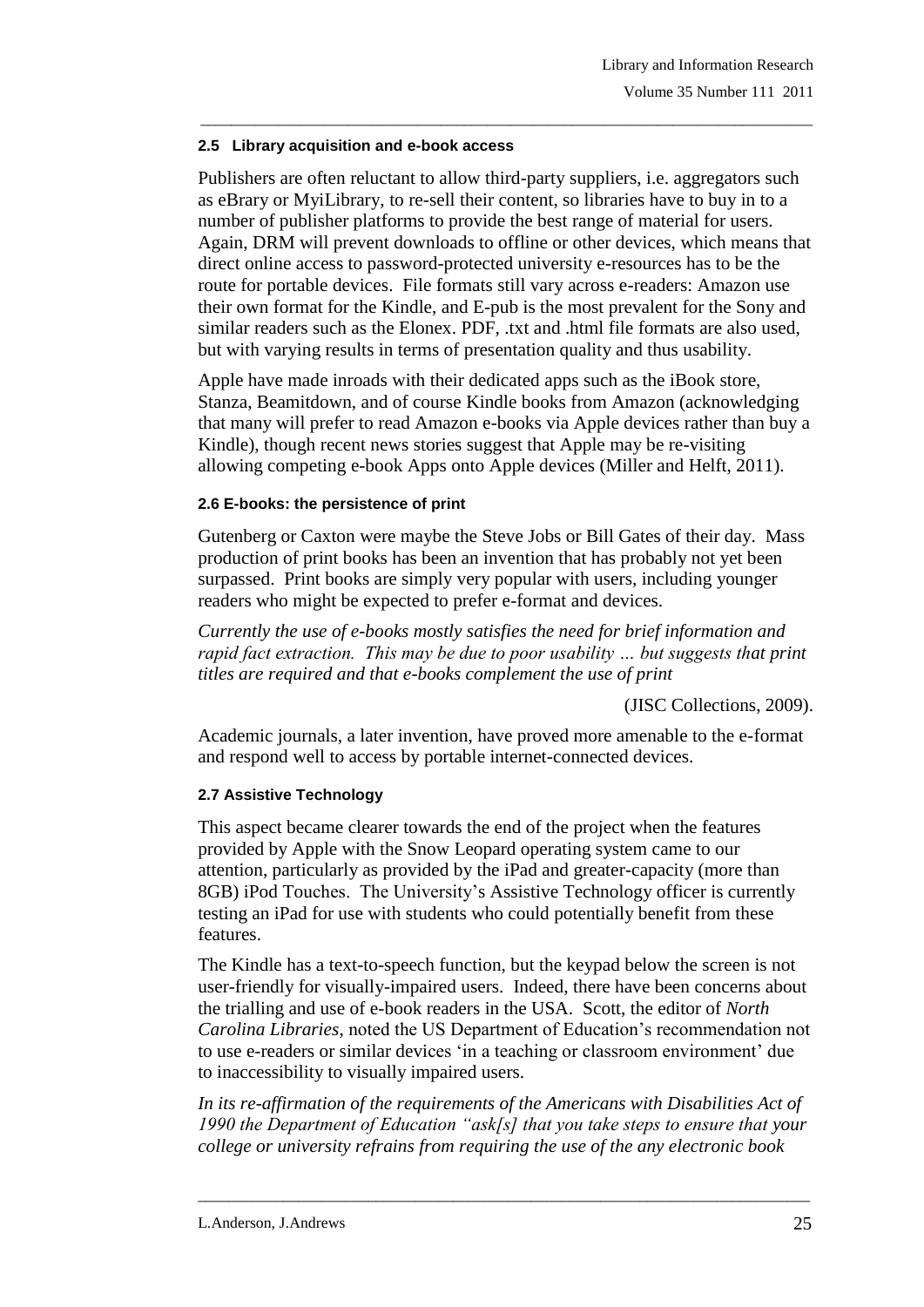#### **2.5 Library acquisition and e-book access**

Publishers are often reluctant to allow third-party suppliers, i.e. aggregators such as eBrary or MyiLibrary, to re-sell their content, so libraries have to buy in to a number of publisher platforms to provide the best range of material for users. Again, DRM will prevent downloads to offline or other devices, which means that direct online access to password-protected university e-resources has to be the route for portable devices. File formats still vary across e-readers: Amazon use their own format for the Kindle, and E-pub is the most prevalent for the Sony and similar readers such as the Elonex. PDF, .txt and .html file formats are also used, but with varying results in terms of presentation quality and thus usability.

\_\_\_\_\_\_\_\_\_\_\_\_\_\_\_\_\_\_\_\_\_\_\_\_\_\_\_\_\_\_\_\_\_\_\_\_\_\_\_\_\_\_\_\_\_\_\_\_\_\_\_\_\_\_\_\_\_\_\_\_\_\_\_\_\_\_\_\_\_\_\_\_\_\_\_\_\_\_\_

Apple have made inroads with their dedicated apps such as the iBook store, Stanza, Beamitdown, and of course Kindle books from Amazon (acknowledging that many will prefer to read Amazon e-books via Apple devices rather than buy a Kindle), though recent news stories suggest that Apple may be re-visiting allowing competing e-book Apps onto Apple devices (Miller and Helft, 2011).

#### **2.6 E-books: the persistence of print**

Gutenberg or Caxton were maybe the Steve Jobs or Bill Gates of their day. Mass production of print books has been an invention that has probably not yet been surpassed. Print books are simply very popular with users, including younger readers who might be expected to prefer e-format and devices.

*Currently the use of e-books mostly satisfies the need for brief information and rapid fact extraction. This may be due to poor usability … but suggests that print titles are required and that e-books complement the use of print*

(JISC Collections, 2009).

Academic journals, a later invention, have proved more amenable to the e-format and respond well to access by portable internet-connected devices.

## **2.7 Assistive Technology**

This aspect became clearer towards the end of the project when the features provided by Apple with the Snow Leopard operating system came to our attention, particularly as provided by the iPad and greater-capacity (more than 8GB) iPod Touches. The University's Assistive Technology officer is currently testing an iPad for use with students who could potentially benefit from these features.

The Kindle has a text-to-speech function, but the keypad below the screen is not user-friendly for visually-impaired users. Indeed, there have been concerns about the trialling and use of e-book readers in the USA. Scott, the editor of *North Carolina Libraries,* noted the US Department of Education"s recommendation not to use e-readers or similar devices "in a teaching or classroom environment" due to inaccessibility to visually impaired users.

In its re-affirmation of the requirements of the Americans with Disabilities Act of *1990 the Department of Education "ask[s] that you take steps to ensure that your college or university refrains from requiring the use of the any electronic book*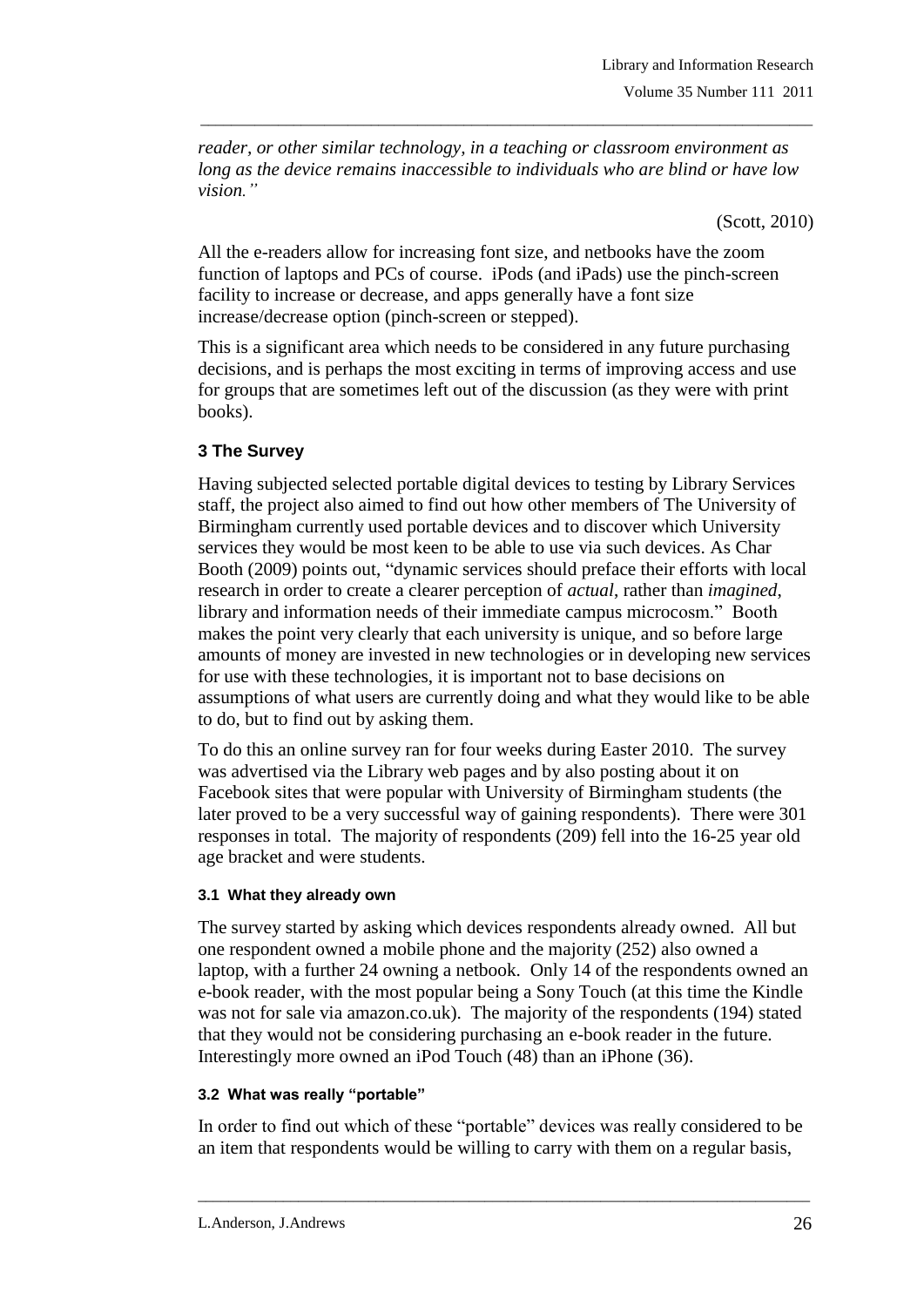*reader, or other similar technology, in a teaching or classroom environment as long as the device remains inaccessible to individuals who are blind or have low vision."*

\_\_\_\_\_\_\_\_\_\_\_\_\_\_\_\_\_\_\_\_\_\_\_\_\_\_\_\_\_\_\_\_\_\_\_\_\_\_\_\_\_\_\_\_\_\_\_\_\_\_\_\_\_\_\_\_\_\_\_\_\_\_\_\_\_\_\_\_\_\_\_\_\_\_\_\_\_\_\_

(Scott, 2010)

All the e-readers allow for increasing font size, and netbooks have the zoom function of laptops and PCs of course. iPods (and iPads) use the pinch-screen facility to increase or decrease, and apps generally have a font size increase/decrease option (pinch-screen or stepped).

This is a significant area which needs to be considered in any future purchasing decisions, and is perhaps the most exciting in terms of improving access and use for groups that are sometimes left out of the discussion (as they were with print books).

# **3 The Survey**

Having subjected selected portable digital devices to testing by Library Services staff, the project also aimed to find out how other members of The University of Birmingham currently used portable devices and to discover which University services they would be most keen to be able to use via such devices. As Char Booth (2009) points out, "dynamic services should preface their efforts with local research in order to create a clearer perception of *actual*, rather than *imagined*, library and information needs of their immediate campus microcosm." Booth makes the point very clearly that each university is unique, and so before large amounts of money are invested in new technologies or in developing new services for use with these technologies, it is important not to base decisions on assumptions of what users are currently doing and what they would like to be able to do, but to find out by asking them.

To do this an online survey ran for four weeks during Easter 2010. The survey was advertised via the Library web pages and by also posting about it on Facebook sites that were popular with University of Birmingham students (the later proved to be a very successful way of gaining respondents). There were 301 responses in total. The majority of respondents (209) fell into the 16-25 year old age bracket and were students.

## **3.1 What they already own**

The survey started by asking which devices respondents already owned. All but one respondent owned a mobile phone and the majority (252) also owned a laptop, with a further 24 owning a netbook. Only 14 of the respondents owned an e-book reader, with the most popular being a Sony Touch (at this time the Kindle was not for sale via amazon.co.uk). The majority of the respondents (194) stated that they would not be considering purchasing an e-book reader in the future. Interestingly more owned an iPod Touch (48) than an iPhone (36).

## **3.2 What was really "portable"**

In order to find out which of these "portable" devices was really considered to be an item that respondents would be willing to carry with them on a regular basis,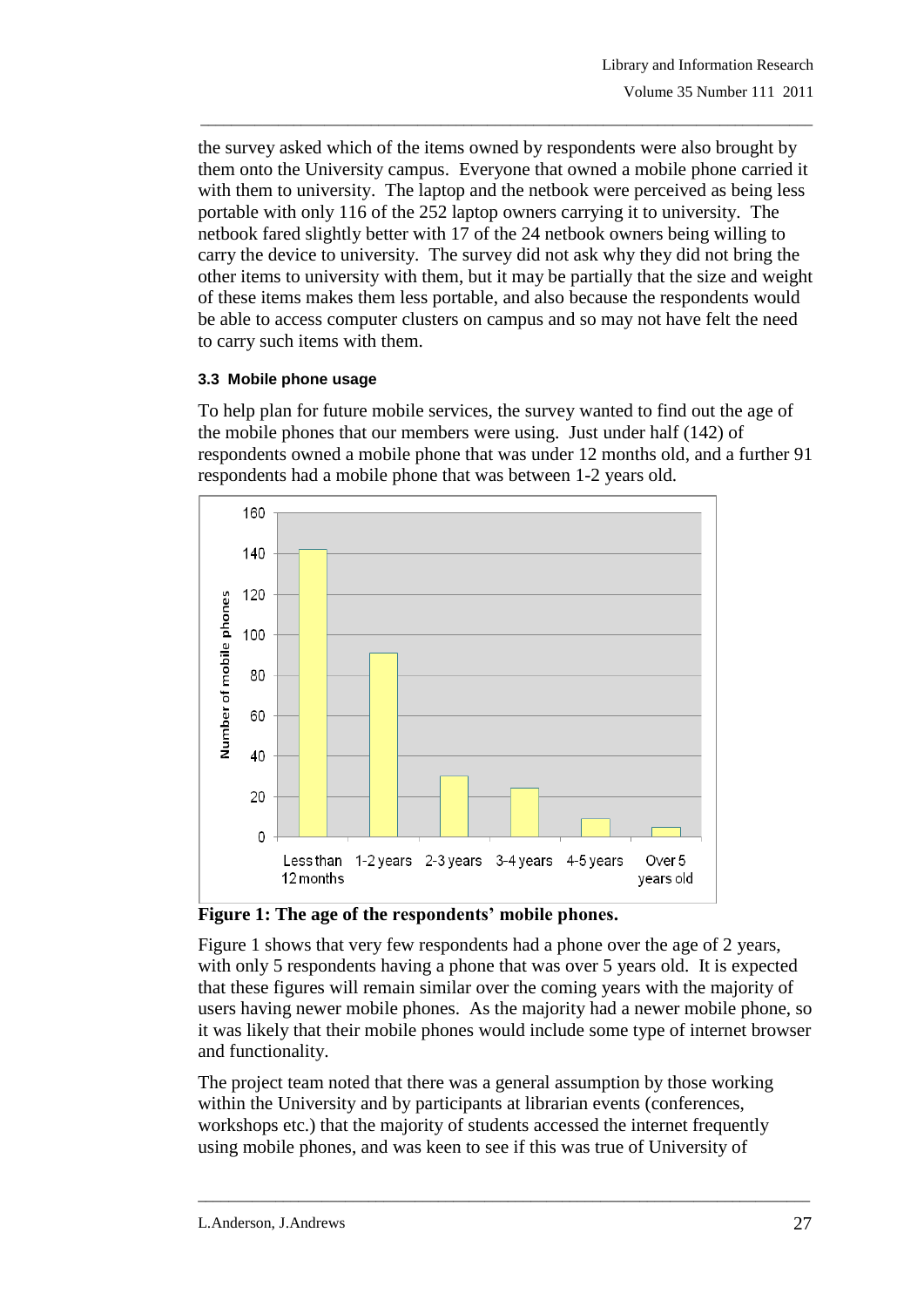the survey asked which of the items owned by respondents were also brought by them onto the University campus. Everyone that owned a mobile phone carried it with them to university. The laptop and the netbook were perceived as being less portable with only 116 of the 252 laptop owners carrying it to university. The netbook fared slightly better with 17 of the 24 netbook owners being willing to carry the device to university. The survey did not ask why they did not bring the other items to university with them, but it may be partially that the size and weight of these items makes them less portable, and also because the respondents would be able to access computer clusters on campus and so may not have felt the need to carry such items with them.

\_\_\_\_\_\_\_\_\_\_\_\_\_\_\_\_\_\_\_\_\_\_\_\_\_\_\_\_\_\_\_\_\_\_\_\_\_\_\_\_\_\_\_\_\_\_\_\_\_\_\_\_\_\_\_\_\_\_\_\_\_\_\_\_\_\_\_\_\_\_\_\_\_\_\_\_\_\_\_

## **3.3 Mobile phone usage**

To help plan for future mobile services, the survey wanted to find out the age of the mobile phones that our members were using. Just under half (142) of respondents owned a mobile phone that was under 12 months old, and a further 91 respondents had a mobile phone that was between 1-2 years old.



**Figure 1: The age of the respondents' mobile phones.**

Figure 1 shows that very few respondents had a phone over the age of 2 years, with only 5 respondents having a phone that was over 5 years old. It is expected that these figures will remain similar over the coming years with the majority of users having newer mobile phones. As the majority had a newer mobile phone, so it was likely that their mobile phones would include some type of internet browser and functionality.

The project team noted that there was a general assumption by those working within the University and by participants at librarian events (conferences, workshops etc.) that the majority of students accessed the internet frequently using mobile phones, and was keen to see if this was true of University of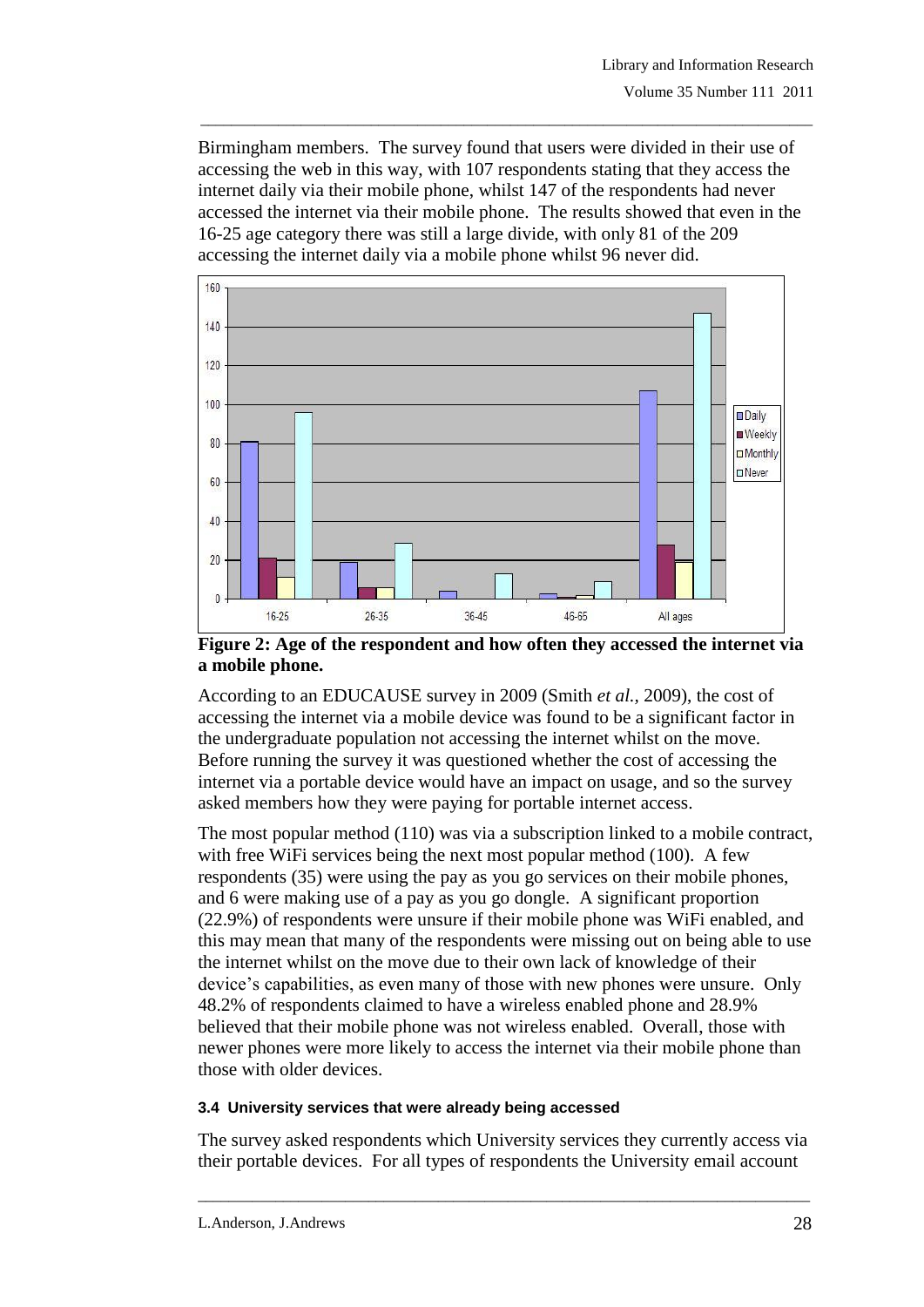Birmingham members. The survey found that users were divided in their use of accessing the web in this way, with 107 respondents stating that they access the internet daily via their mobile phone, whilst 147 of the respondents had never accessed the internet via their mobile phone. The results showed that even in the 16-25 age category there was still a large divide, with only 81 of the 209 accessing the internet daily via a mobile phone whilst 96 never did.

\_\_\_\_\_\_\_\_\_\_\_\_\_\_\_\_\_\_\_\_\_\_\_\_\_\_\_\_\_\_\_\_\_\_\_\_\_\_\_\_\_\_\_\_\_\_\_\_\_\_\_\_\_\_\_\_\_\_\_\_\_\_\_\_\_\_\_\_\_\_\_\_\_\_\_\_\_\_\_



**Figure 2: Age of the respondent and how often they accessed the internet via a mobile phone.** 

According to an EDUCAUSE survey in 2009 (Smith *et al.,* 2009), the cost of accessing the internet via a mobile device was found to be a significant factor in the undergraduate population not accessing the internet whilst on the move. Before running the survey it was questioned whether the cost of accessing the internet via a portable device would have an impact on usage, and so the survey asked members how they were paying for portable internet access.

The most popular method (110) was via a subscription linked to a mobile contract, with free WiFi services being the next most popular method (100). A few respondents (35) were using the pay as you go services on their mobile phones, and 6 were making use of a pay as you go dongle. A significant proportion (22.9%) of respondents were unsure if their mobile phone was WiFi enabled, and this may mean that many of the respondents were missing out on being able to use the internet whilst on the move due to their own lack of knowledge of their device"s capabilities, as even many of those with new phones were unsure. Only 48.2% of respondents claimed to have a wireless enabled phone and 28.9% believed that their mobile phone was not wireless enabled. Overall, those with newer phones were more likely to access the internet via their mobile phone than those with older devices.

## **3.4 University services that were already being accessed**

The survey asked respondents which University services they currently access via their portable devices. For all types of respondents the University email account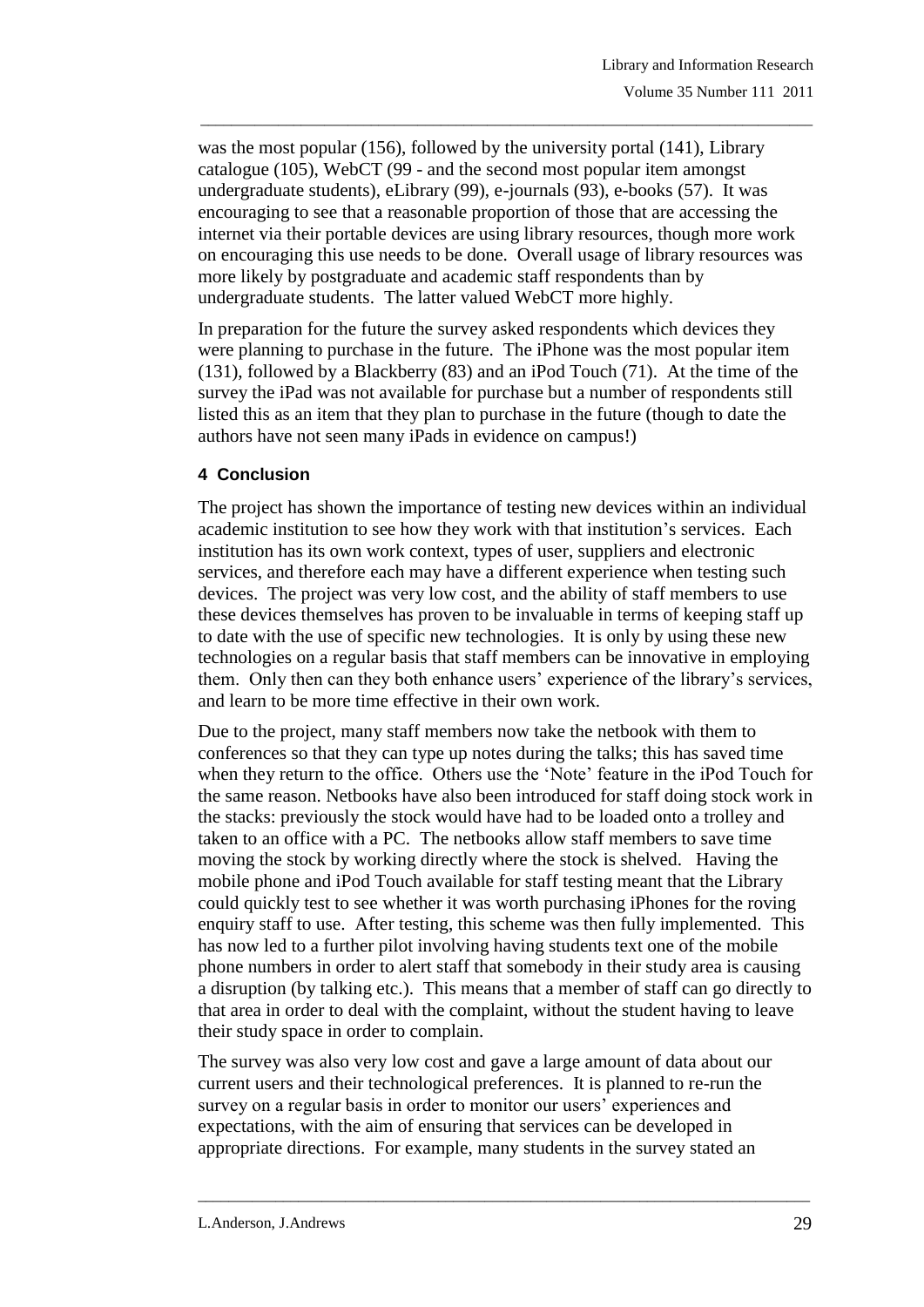was the most popular (156), followed by the university portal (141), Library catalogue (105), WebCT (99 - and the second most popular item amongst undergraduate students), eLibrary (99), e-journals (93), e-books (57). It was encouraging to see that a reasonable proportion of those that are accessing the internet via their portable devices are using library resources, though more work on encouraging this use needs to be done. Overall usage of library resources was more likely by postgraduate and academic staff respondents than by undergraduate students. The latter valued WebCT more highly.

\_\_\_\_\_\_\_\_\_\_\_\_\_\_\_\_\_\_\_\_\_\_\_\_\_\_\_\_\_\_\_\_\_\_\_\_\_\_\_\_\_\_\_\_\_\_\_\_\_\_\_\_\_\_\_\_\_\_\_\_\_\_\_\_\_\_\_\_\_\_\_\_\_\_\_\_\_\_\_

In preparation for the future the survey asked respondents which devices they were planning to purchase in the future. The iPhone was the most popular item (131), followed by a Blackberry (83) and an iPod Touch (71). At the time of the survey the iPad was not available for purchase but a number of respondents still listed this as an item that they plan to purchase in the future (though to date the authors have not seen many iPads in evidence on campus!)

# **4 Conclusion**

The project has shown the importance of testing new devices within an individual academic institution to see how they work with that institution"s services. Each institution has its own work context, types of user, suppliers and electronic services, and therefore each may have a different experience when testing such devices. The project was very low cost, and the ability of staff members to use these devices themselves has proven to be invaluable in terms of keeping staff up to date with the use of specific new technologies. It is only by using these new technologies on a regular basis that staff members can be innovative in employing them. Only then can they both enhance users" experience of the library"s services, and learn to be more time effective in their own work.

Due to the project, many staff members now take the netbook with them to conferences so that they can type up notes during the talks; this has saved time when they return to the office. Others use the "Note" feature in the iPod Touch for the same reason. Netbooks have also been introduced for staff doing stock work in the stacks: previously the stock would have had to be loaded onto a trolley and taken to an office with a PC. The netbooks allow staff members to save time moving the stock by working directly where the stock is shelved. Having the mobile phone and iPod Touch available for staff testing meant that the Library could quickly test to see whether it was worth purchasing iPhones for the roving enquiry staff to use. After testing, this scheme was then fully implemented. This has now led to a further pilot involving having students text one of the mobile phone numbers in order to alert staff that somebody in their study area is causing a disruption (by talking etc.). This means that a member of staff can go directly to that area in order to deal with the complaint, without the student having to leave their study space in order to complain.

The survey was also very low cost and gave a large amount of data about our current users and their technological preferences. It is planned to re-run the survey on a regular basis in order to monitor our users' experiences and expectations, with the aim of ensuring that services can be developed in appropriate directions. For example, many students in the survey stated an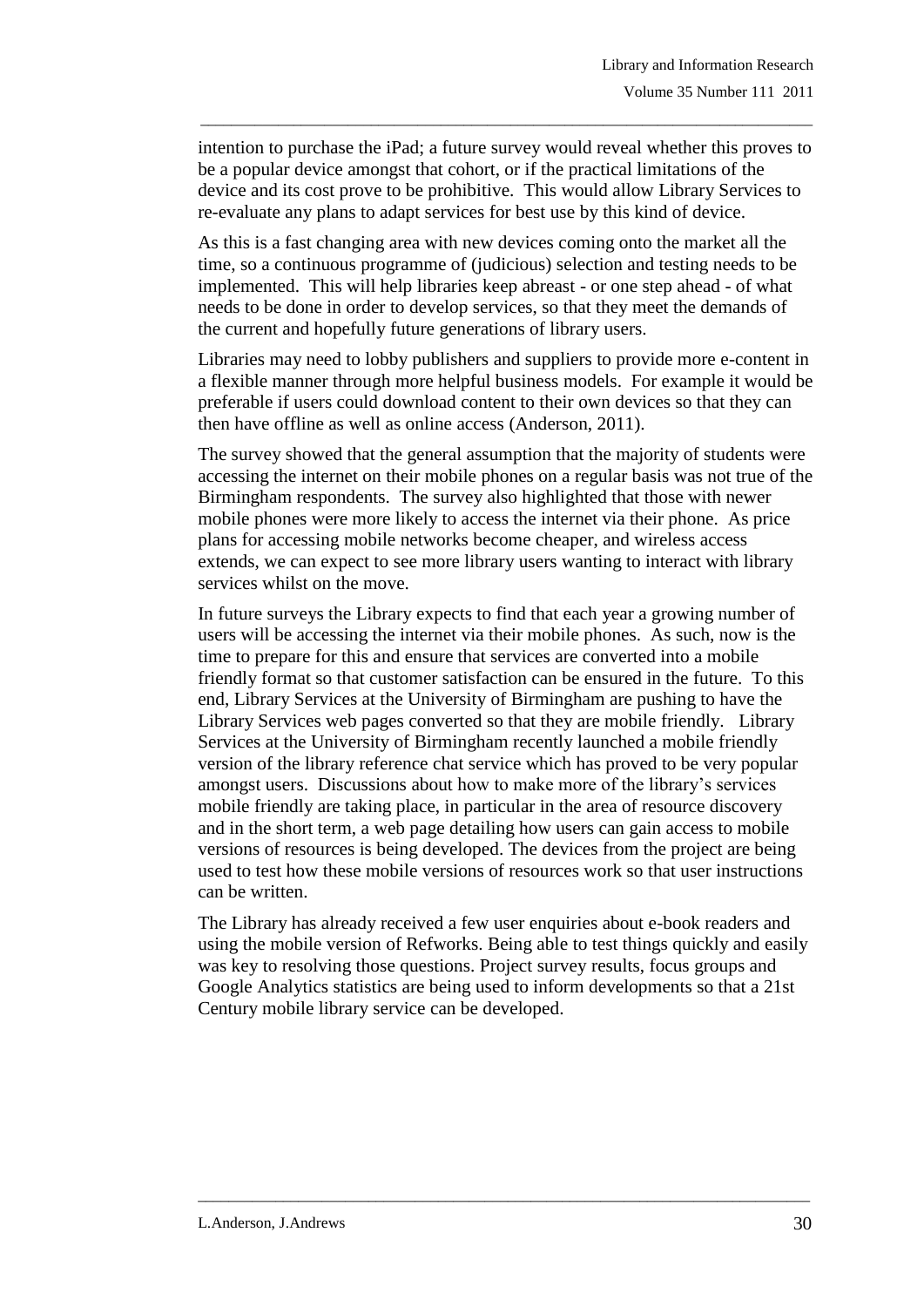intention to purchase the iPad; a future survey would reveal whether this proves to be a popular device amongst that cohort, or if the practical limitations of the device and its cost prove to be prohibitive. This would allow Library Services to re-evaluate any plans to adapt services for best use by this kind of device.

\_\_\_\_\_\_\_\_\_\_\_\_\_\_\_\_\_\_\_\_\_\_\_\_\_\_\_\_\_\_\_\_\_\_\_\_\_\_\_\_\_\_\_\_\_\_\_\_\_\_\_\_\_\_\_\_\_\_\_\_\_\_\_\_\_\_\_\_\_\_\_\_\_\_\_\_\_\_\_

As this is a fast changing area with new devices coming onto the market all the time, so a continuous programme of (judicious) selection and testing needs to be implemented. This will help libraries keep abreast - or one step ahead - of what needs to be done in order to develop services, so that they meet the demands of the current and hopefully future generations of library users.

Libraries may need to lobby publishers and suppliers to provide more e-content in a flexible manner through more helpful business models. For example it would be preferable if users could download content to their own devices so that they can then have offline as well as online access (Anderson, 2011).

The survey showed that the general assumption that the majority of students were accessing the internet on their mobile phones on a regular basis was not true of the Birmingham respondents. The survey also highlighted that those with newer mobile phones were more likely to access the internet via their phone. As price plans for accessing mobile networks become cheaper, and wireless access extends, we can expect to see more library users wanting to interact with library services whilst on the move.

In future surveys the Library expects to find that each year a growing number of users will be accessing the internet via their mobile phones. As such, now is the time to prepare for this and ensure that services are converted into a mobile friendly format so that customer satisfaction can be ensured in the future. To this end, Library Services at the University of Birmingham are pushing to have the Library Services web pages converted so that they are mobile friendly. Library Services at the University of Birmingham recently launched a mobile friendly version of the library reference chat service which has proved to be very popular amongst users. Discussions about how to make more of the library"s services mobile friendly are taking place, in particular in the area of resource discovery and in the short term, a web page detailing how users can gain access to mobile versions of resources is being developed. The devices from the project are being used to test how these mobile versions of resources work so that user instructions can be written.

The Library has already received a few user enquiries about e-book readers and using the mobile version of Refworks. Being able to test things quickly and easily was key to resolving those questions. Project survey results, focus groups and Google Analytics statistics are being used to inform developments so that a 21st Century mobile library service can be developed.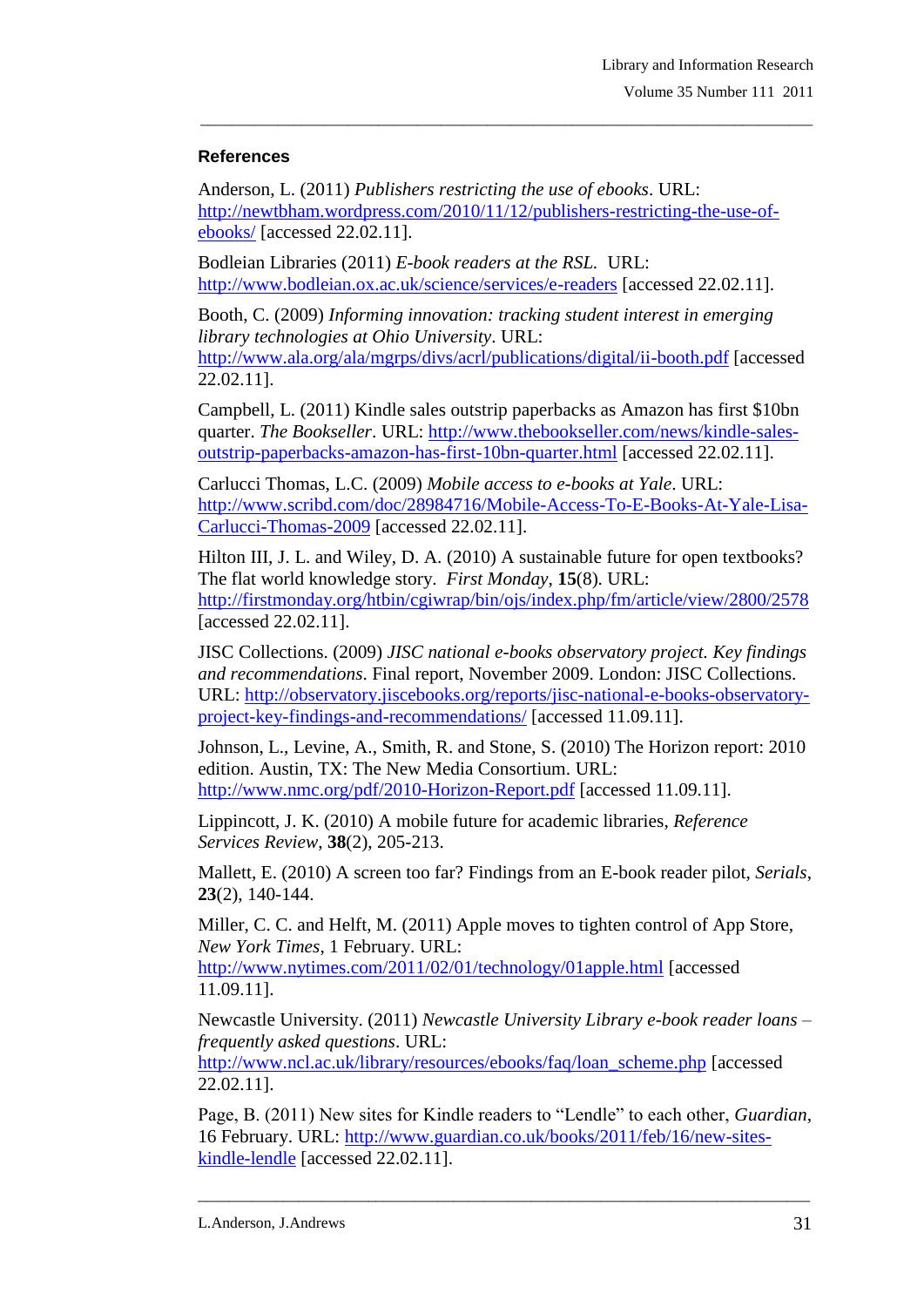# **References**

Anderson, L. (2011) *Publishers restricting the use of ebooks*. URL: [http://newtbham.wordpress.com/2010/11/12/publishers-restricting-the-use-of](http://newtbham.wordpress.com/2010/11/12/publishers-restricting-the-use-of-ebooks/)[ebooks/](http://newtbham.wordpress.com/2010/11/12/publishers-restricting-the-use-of-ebooks/) [accessed 22.02.11].

\_\_\_\_\_\_\_\_\_\_\_\_\_\_\_\_\_\_\_\_\_\_\_\_\_\_\_\_\_\_\_\_\_\_\_\_\_\_\_\_\_\_\_\_\_\_\_\_\_\_\_\_\_\_\_\_\_\_\_\_\_\_\_\_\_\_\_\_\_\_\_\_\_\_\_\_\_\_\_

Bodleian Libraries (2011) *E-book readers at the RSL.* URL: <http://www.bodleian.ox.ac.uk/science/services/e-readers> [accessed 22.02.11].

Booth, C. (2009) *Informing innovation: tracking student interest in emerging library technologies at Ohio University*. URL: <http://www.ala.org/ala/mgrps/divs/acrl/publications/digital/ii-booth.pdf> [accessed 22.02.11].

Campbell, L. (2011) Kindle sales outstrip paperbacks as Amazon has first \$10bn quarter. *The Bookseller*. URL: [http://www.thebookseller.com/news/kindle-sales](http://www.thebookseller.com/news/kindle-sales-outstrip-paperbacks-amazon-has-first-10bn-quarter.html)[outstrip-paperbacks-amazon-has-first-10bn-quarter.html](http://www.thebookseller.com/news/kindle-sales-outstrip-paperbacks-amazon-has-first-10bn-quarter.html) [accessed 22.02.11].

Carlucci Thomas, L.C. (2009) *Mobile access to e-books at Yale*. URL: [http://www.scribd.com/doc/28984716/Mobile-Access-To-E-Books-At-Yale-Lisa-](http://www.scribd.com/doc/28984716/Mobile-Access-To-E-Books-At-Yale-Lisa-Carlucci-Thomas-2009)[Carlucci-Thomas-2009](http://www.scribd.com/doc/28984716/Mobile-Access-To-E-Books-At-Yale-Lisa-Carlucci-Thomas-2009) [accessed 22.02.11].

Hilton III, J. L. and Wiley, D. A. (2010) A sustainable future for open textbooks? The flat world knowledge story. *First Monday*, **15**(8). URL: <http://firstmonday.org/htbin/cgiwrap/bin/ojs/index.php/fm/article/view/2800/2578> [accessed 22.02.11].

JISC Collections. (2009) *JISC national e-books observatory project. Key findings and recommendations*. Final report, November 2009. London: JISC Collections. URL: [http://observatory.jiscebooks.org/reports/jisc-national-e-books-observatory](http://observatory.jiscebooks.org/reports/jisc-national-e-books-observatory-project-key-findings-and-recommendations/)[project-key-findings-and-recommendations/](http://observatory.jiscebooks.org/reports/jisc-national-e-books-observatory-project-key-findings-and-recommendations/) [accessed 11.09.11].

Johnson, L., Levine, A., Smith, R. and Stone, S. (2010) The Horizon report: 2010 edition. Austin, TX: The New Media Consortium. URL: <http://www.nmc.org/pdf/2010-Horizon-Report.pdf> [accessed 11.09.11].

Lippincott, J. K. (2010) A mobile future for academic libraries, *Reference Services Review*, **38**(2), 205-213.

Mallett, E. (2010) A screen too far? Findings from an E-book reader pilot, *Serials*, **23**(2), 140-144.

Miller, C. C. and Helft, M. (2011) Apple moves to tighten control of App Store, *New York Times*, 1 February. URL:

<http://www.nytimes.com/2011/02/01/technology/01apple.html> [accessed 11.09.11].

Newcastle University. (2011) *Newcastle University Library e-book reader loans – frequently asked questions*. URL:

[http://www.ncl.ac.uk/library/resources/ebooks/faq/loan\\_scheme.php](http://www.ncl.ac.uk/library/resources/ebooks/faq/loan_scheme.php) [accessed 22.02.11].

Page, B. (2011) New sites for Kindle readers to "Lendle" to each other, *Guardian,*  16 February. URL: [http://www.guardian.co.uk/books/2011/feb/16/new-sites](http://www.guardian.co.uk/books/2011/feb/16/new-sites-kindle-lendle)[kindle-lendle](http://www.guardian.co.uk/books/2011/feb/16/new-sites-kindle-lendle) [accessed 22.02.11].